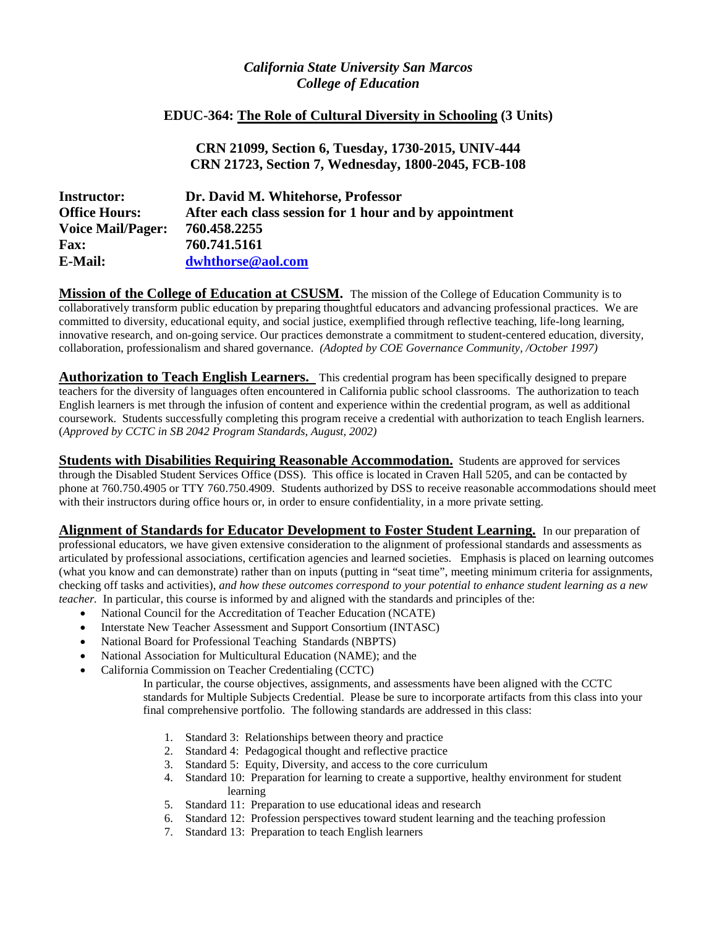# *California State University San Marcos College of Education*

## **EDUC-364: The Role of Cultural Diversity in Schooling (3 Units)**

**CRN 21099, Section 6, Tuesday, 1730-2015, UNIV-444 CRN 21723, Section 7, Wednesday, 1800-2045, FCB-108**

| <b>Instructor:</b>       | Dr. David M. Whitehorse, Professor                     |
|--------------------------|--------------------------------------------------------|
| <b>Office Hours:</b>     | After each class session for 1 hour and by appointment |
| <b>Voice Mail/Pager:</b> | 760.458.2255                                           |
| <b>Fax:</b>              | 760.741.5161                                           |
| E-Mail:                  | dwhthorse@aol.com                                      |

**Mission of the College of Education at CSUSM.** The mission of the College of Education Community is to collaboratively transform public education by preparing thoughtful educators and advancing professional practices. We are committed to diversity, educational equity, and social justice, exemplified through reflective teaching, life-long learning, innovative research, and on-going service. Our practices demonstrate a commitment to student-centered education, diversity, collaboration, professionalism and shared governance. *(Adopted by COE Governance Community, /October 1997)*

**Authorization to Teach English Learners.** This credential program has been specifically designed to prepare teachers for the diversity of languages often encountered in California public school classrooms. The authorization to teach English learners is met through the infusion of content and experience within the credential program, as well as additional coursework. Students successfully completing this program receive a credential with authorization to teach English learners. (*Approved by CCTC in SB 2042 Program Standards, August, 2002)*

**Students with Disabilities Requiring Reasonable Accommodation.** Students are approved for services through the Disabled Student Services Office (DSS). This office is located in Craven Hall 5205, and can be contacted by phone at 760.750.4905 or TTY 760.750.4909. Students authorized by DSS to receive reasonable accommodations should meet with their instructors during office hours or, in order to ensure confidentiality, in a more private setting.

**Alignment of Standards for Educator Development to Foster Student Learning.** In our preparation of professional educators, we have given extensive consideration to the alignment of professional standards and assessments as articulated by professional associations, certification agencies and learned societies. Emphasis is placed on learning outcomes (what you know and can demonstrate) rather than on inputs (putting in "seat time", meeting minimum criteria for assignments, checking off tasks and activities), *and how these outcomes correspond to your potential to enhance student learning as a new teacher.* In particular, this course is informed by and aligned with the standards and principles of the:

- National Council for the Accreditation of Teacher Education (NCATE)
- Interstate New Teacher Assessment and Support Consortium (INTASC)
- National Board for Professional Teaching Standards (NBPTS)
- National Association for Multicultural Education (NAME); and the
- California Commission on Teacher Credentialing (CCTC)
	- In particular, the course objectives, assignments, and assessments have been aligned with the CCTC standards for Multiple Subjects Credential. Please be sure to incorporate artifacts from this class into your final comprehensive portfolio. The following standards are addressed in this class:
		- 1. Standard 3: Relationships between theory and practice
		- 2. Standard 4: Pedagogical thought and reflective practice
		- 3. Standard 5: Equity, Diversity, and access to the core curriculum
		- 4. Standard 10: Preparation for learning to create a supportive, healthy environment for student learning
		- 5. Standard 11: Preparation to use educational ideas and research
		- 6. Standard 12: Profession perspectives toward student learning and the teaching profession
		- 7. Standard 13: Preparation to teach English learners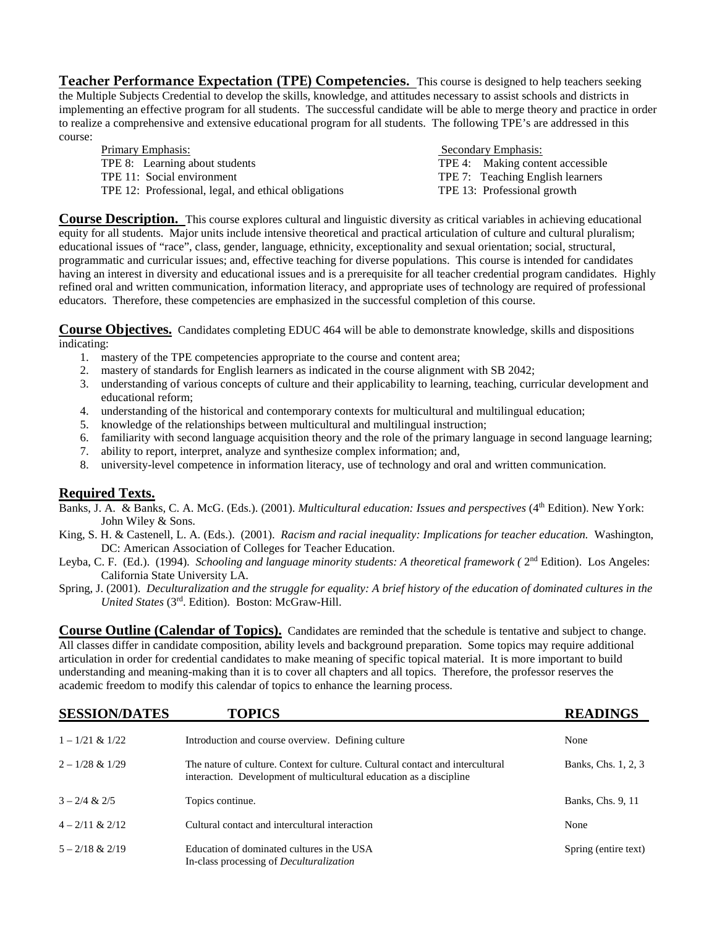**Teacher Performance Expectation (TPE) Competencies.** This course is designed to help teachers seeking the Multiple Subjects Credential to develop the skills, knowledge, and attitudes necessary to assist schools and districts in implementing an effective program for all students. The successful candidate will be able to merge theory and practice in order to realize a comprehensive and extensive educational program for all students. The following TPE's are addressed in this course:

| <b>Primary Emphasis:</b>                             | Secondary Emphasis:              |
|------------------------------------------------------|----------------------------------|
| TPE 8: Learning about students                       | TPE 4: Making content accessible |
| TPE 11: Social environment                           | TPE 7: Teaching English learners |
| TPE 12: Professional, legal, and ethical obligations | TPE 13: Professional growth      |

**Course Description.** This course explores cultural and linguistic diversity as critical variables in achieving educational equity for all students. Major units include intensive theoretical and practical articulation of culture and cultural pluralism; educational issues of "race", class, gender, language, ethnicity, exceptionality and sexual orientation; social, structural, programmatic and curricular issues; and, effective teaching for diverse populations. This course is intended for candidates having an interest in diversity and educational issues and is a prerequisite for all teacher credential program candidates. Highly refined oral and written communication, information literacy, and appropriate uses of technology are required of professional educators. Therefore, these competencies are emphasized in the successful completion of this course.

**Course Objectives.** Candidates completing EDUC 464 will be able to demonstrate knowledge, skills and dispositions indicating:

- 1. mastery of the TPE competencies appropriate to the course and content area;
- 2. mastery of standards for English learners as indicated in the course alignment with SB 2042;
- 3. understanding of various concepts of culture and their applicability to learning, teaching, curricular development and educational reform;
- 4. understanding of the historical and contemporary contexts for multicultural and multilingual education;
- 5. knowledge of the relationships between multicultural and multilingual instruction;
- 6. familiarity with second language acquisition theory and the role of the primary language in second language learning;
- 7. ability to report, interpret, analyze and synthesize complex information; and,
- 8. university-level competence in information literacy, use of technology and oral and written communication.

## **Required Texts.**

Banks, J. A. & Banks, C. A. McG. (Eds.). (2001). *Multicultural education: Issues and perspectives* (4th Edition). New York: John Wiley & Sons.

- King, S. H. & Castenell, L. A. (Eds.). (2001). *Racism and racial inequality: Implications for teacher education.* Washington, DC: American Association of Colleges for Teacher Education.
- Leyba, C. F. (Ed.). (1994). *Schooling and language minority students: A theoretical framework (*  $2<sup>nd</sup>$  Edition). Los Angeles: California State University LA.
- Spring, J. (2001). *Deculturalization and the struggle for equality: A brief history of the education of dominated cultures in the United States* (3rd. Edition). Boston: McGraw-Hill.

**Course Outline (Calendar of Topics).** Candidates are reminded that the schedule is tentative and subject to change. All classes differ in candidate composition, ability levels and background preparation. Some topics may require additional articulation in order for credential candidates to make meaning of specific topical material. It is more important to build understanding and meaning-making than it is to cover all chapters and all topics. Therefore, the professor reserves the academic freedom to modify this calendar of topics to enhance the learning process.

| <b>SESSION/DATES</b> | <b>TOPICS</b>                                                                                                                                         | <b>READINGS</b>      |
|----------------------|-------------------------------------------------------------------------------------------------------------------------------------------------------|----------------------|
| $1 - 1/21$ & $1/22$  | Introduction and course overview. Defining culture                                                                                                    | None                 |
| $2 - 1/28 & 1/29$    | The nature of culture. Context for culture. Cultural contact and intercultural<br>interaction. Development of multicultural education as a discipline | Banks, Chs. 1, 2, 3  |
| $3 - 2/4 & 2/5$      | Topics continue.                                                                                                                                      | Banks, Chs. 9, 11    |
| $4 - 2/11$ & $2/12$  | Cultural contact and intercultural interaction                                                                                                        | None                 |
| $5 - 2/18 & 2/19$    | Education of dominated cultures in the USA<br>In-class processing of <i>Deculturalization</i>                                                         | Spring (entire text) |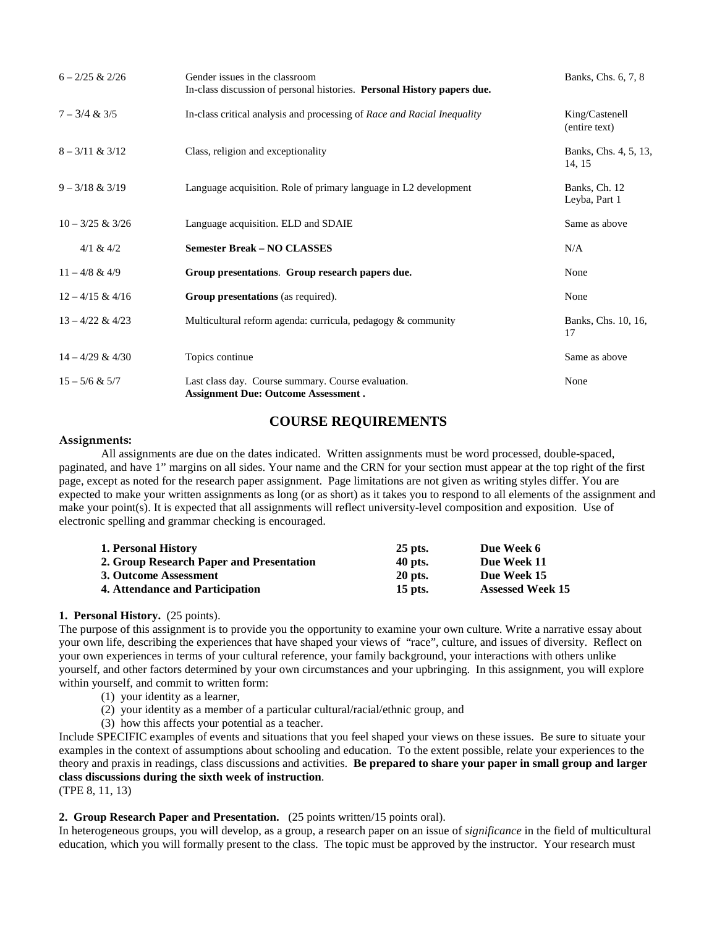| $6 - 2/25$ & $2/26$ | Gender issues in the classroom<br>In-class discussion of personal histories. Personal History papers due. | Banks, Chs. 6, 7, 8             |
|---------------------|-----------------------------------------------------------------------------------------------------------|---------------------------------|
| $7 - 3/4 & 3/5$     | In-class critical analysis and processing of Race and Racial Inequality                                   | King/Castenell<br>(entire text) |
| $8 - 3/11 & 3/12$   | Class, religion and exceptionality                                                                        | Banks, Chs. 4, 5, 13,<br>14, 15 |
| $9 - 3/18 & 3/19$   | Language acquisition. Role of primary language in L2 development                                          | Banks, Ch. 12<br>Leyba, Part 1  |
| $10 - 3/25 & 3/26$  | Language acquisition. ELD and SDAIE                                                                       | Same as above                   |
| $4/1$ & $4/2$       | <b>Semester Break - NO CLASSES</b>                                                                        | N/A                             |
| $11 - 4/8 & 4/9$    | Group presentations. Group research papers due.                                                           | None                            |
| $12 - 4/15 & 4/16$  | <b>Group presentations</b> (as required).                                                                 | None                            |
| $13 - 4/22 \& 4/23$ | Multicultural reform agenda: curricula, pedagogy $\&$ community                                           | Banks, Chs. 10, 16,<br>17       |
| $14 - 4/29 & 4/30$  | Topics continue                                                                                           | Same as above                   |
| $15 - 5/6 & 5/7$    | Last class day. Course summary. Course evaluation.<br><b>Assignment Due: Outcome Assessment.</b>          | None                            |

# **COURSE REQUIREMENTS**

#### **Assignments:**

All assignments are due on the dates indicated. Written assignments must be word processed, double-spaced, paginated, and have 1" margins on all sides. Your name and the CRN for your section must appear at the top right of the first page, except as noted for the research paper assignment. Page limitations are not given as writing styles differ. You are expected to make your written assignments as long (or as short) as it takes you to respond to all elements of the assignment and make your point(s). It is expected that all assignments will reflect university-level composition and exposition. Use of electronic spelling and grammar checking is encouraged.

| <b>1. Personal History</b>               | $25$ pts.      | Due Week 6              |
|------------------------------------------|----------------|-------------------------|
| 2. Group Research Paper and Presentation | 40 pts.        | Due Week 11             |
| 3. Outcome Assessment                    | <b>20 pts.</b> | Due Week 15             |
| 4. Attendance and Participation          | 15 pts.        | <b>Assessed Week 15</b> |

### **1. Personal History.** (25 points).

The purpose of this assignment is to provide you the opportunity to examine your own culture. Write a narrative essay about your own life, describing the experiences that have shaped your views of "race", culture, and issues of diversity. Reflect on your own experiences in terms of your cultural reference, your family background, your interactions with others unlike yourself, and other factors determined by your own circumstances and your upbringing. In this assignment, you will explore within yourself, and commit to written form:

- (1) your identity as a learner,
- (2) your identity as a member of a particular cultural/racial/ethnic group, and
- (3) how this affects your potential as a teacher.

Include SPECIFIC examples of events and situations that you feel shaped your views on these issues. Be sure to situate your examples in the context of assumptions about schooling and education. To the extent possible, relate your experiences to the theory and praxis in readings, class discussions and activities. **Be prepared to share your paper in small group and larger class discussions during the sixth week of instruction**.

(TPE 8, 11, 13)

### **2. Group Research Paper and Presentation.** (25 points written/15 points oral).

In heterogeneous groups, you will develop, as a group, a research paper on an issue of *significance* in the field of multicultural education, which you will formally present to the class. The topic must be approved by the instructor. Your research must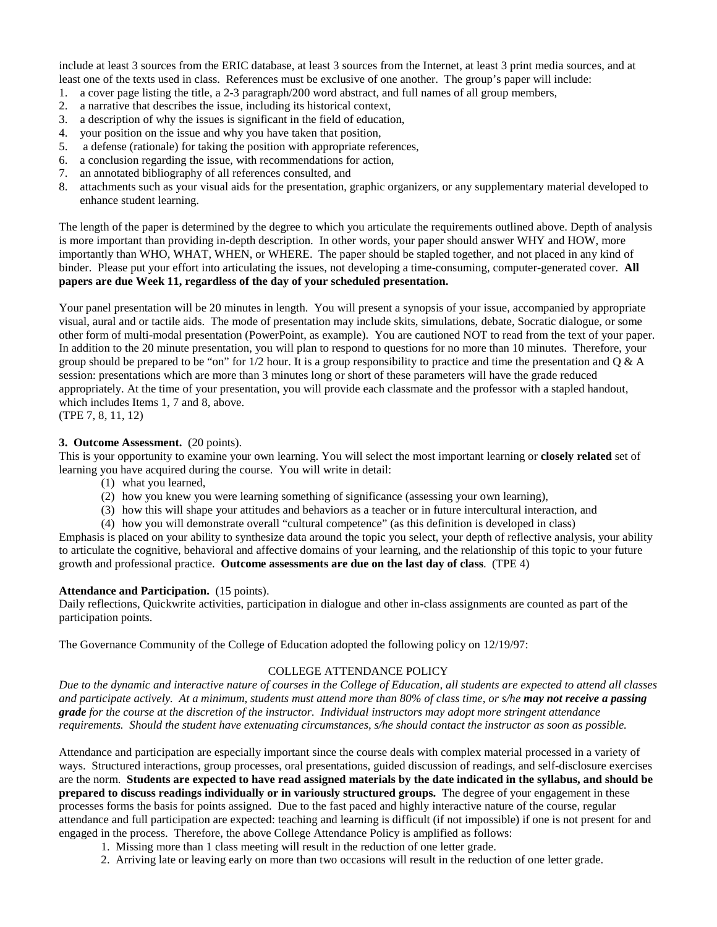include at least 3 sources from the ERIC database, at least 3 sources from the Internet, at least 3 print media sources, and at least one of the texts used in class. References must be exclusive of one another. The group's paper will include:

- 1. a cover page listing the title, a 2-3 paragraph/200 word abstract, and full names of all group members,
- 2. a narrative that describes the issue, including its historical context,
- 3. a description of why the issues is significant in the field of education,
- 4. your position on the issue and why you have taken that position,
- 5. a defense (rationale) for taking the position with appropriate references,
- 6. a conclusion regarding the issue, with recommendations for action,
- 7. an annotated bibliography of all references consulted, and
- 8. attachments such as your visual aids for the presentation, graphic organizers, or any supplementary material developed to enhance student learning.

The length of the paper is determined by the degree to which you articulate the requirements outlined above. Depth of analysis is more important than providing in-depth description. In other words, your paper should answer WHY and HOW, more importantly than WHO, WHAT, WHEN, or WHERE. The paper should be stapled together, and not placed in any kind of binder. Please put your effort into articulating the issues, not developing a time-consuming, computer-generated cover. **All papers are due Week 11, regardless of the day of your scheduled presentation.**

Your panel presentation will be 20 minutes in length. You will present a synopsis of your issue, accompanied by appropriate visual, aural and or tactile aids. The mode of presentation may include skits, simulations, debate, Socratic dialogue, or some other form of multi-modal presentation (PowerPoint, as example). You are cautioned NOT to read from the text of your paper. In addition to the 20 minute presentation, you will plan to respond to questions for no more than 10 minutes. Therefore, your group should be prepared to be "on" for  $1/2$  hour. It is a group responsibility to practice and time the presentation and Q & A session: presentations which are more than 3 minutes long or short of these parameters will have the grade reduced appropriately. At the time of your presentation, you will provide each classmate and the professor with a stapled handout, which includes Items 1, 7 and 8, above.

(TPE 7, 8, 11, 12)

#### **3. Outcome Assessment.** (20 points).

This is your opportunity to examine your own learning. You will select the most important learning or **closely related** set of learning you have acquired during the course. You will write in detail:

- (1) what you learned,
- (2) how you knew you were learning something of significance (assessing your own learning),
- (3) how this will shape your attitudes and behaviors as a teacher or in future intercultural interaction, and
- (4) how you will demonstrate overall "cultural competence" (as this definition is developed in class)

Emphasis is placed on your ability to synthesize data around the topic you select, your depth of reflective analysis, your ability to articulate the cognitive, behavioral and affective domains of your learning, and the relationship of this topic to your future growth and professional practice. **Outcome assessments are due on the last day of class**. (TPE 4)

### **Attendance and Participation.** (15 points).

Daily reflections, Quickwrite activities, participation in dialogue and other in-class assignments are counted as part of the participation points.

The Governance Community of the College of Education adopted the following policy on 12/19/97:

### COLLEGE ATTENDANCE POLICY

*Due to the dynamic and interactive nature of courses in the College of Education, all students are expected to attend all classes and participate actively. At a minimum, students must attend more than 80% of class time, or s/he may not receive a passing grade for the course at the discretion of the instructor. Individual instructors may adopt more stringent attendance requirements. Should the student have extenuating circumstances, s/he should contact the instructor as soon as possible.*

Attendance and participation are especially important since the course deals with complex material processed in a variety of ways. Structured interactions, group processes, oral presentations, guided discussion of readings, and self-disclosure exercises are the norm. **Students are expected to have read assigned materials by the date indicated in the syllabus, and should be prepared to discuss readings individually or in variously structured groups.** The degree of your engagement in these processes forms the basis for points assigned. Due to the fast paced and highly interactive nature of the course, regular attendance and full participation are expected: teaching and learning is difficult (if not impossible) if one is not present for and engaged in the process. Therefore, the above College Attendance Policy is amplified as follows:

- 1. Missing more than 1 class meeting will result in the reduction of one letter grade.
- 2. Arriving late or leaving early on more than two occasions will result in the reduction of one letter grade.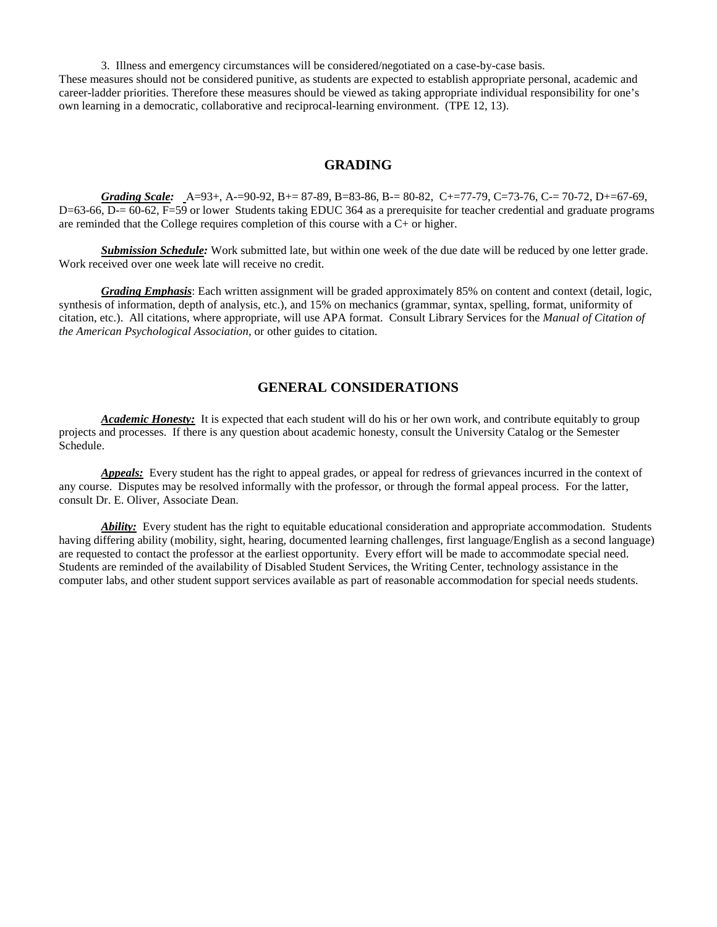3. Illness and emergency circumstances will be considered/negotiated on a case-by-case basis.

These measures should not be considered punitive, as students are expected to establish appropriate personal, academic and career-ladder priorities. Therefore these measures should be viewed as taking appropriate individual responsibility for one's own learning in a democratic, collaborative and reciprocal-learning environment. (TPE 12, 13).

#### **GRADING**

*Grading Scale:* A=93+, A-=90-92, B+= 87-89, B=83-86, B-= 80-82, C+=77-79, C=73-76, C-= 70-72, D+=67-69, D=63-66, D-= 60-62, F=59 or lower Students taking EDUC 364 as a prerequisite for teacher credential and graduate programs are reminded that the College requires completion of this course with a C+ or higher.

*Submission Schedule:* Work submitted late, but within one week of the due date will be reduced by one letter grade. Work received over one week late will receive no credit.

*Grading Emphasis*: Each written assignment will be graded approximately 85% on content and context (detail, logic, synthesis of information, depth of analysis, etc.), and 15% on mechanics (grammar, syntax, spelling, format, uniformity of citation, etc.). All citations, where appropriate, will use APA format. Consult Library Services for the *Manual of Citation of the American Psychological Association,* or other guides to citation.

## **GENERAL CONSIDERATIONS**

*Academic Honesty:* It is expected that each student will do his or her own work, and contribute equitably to group projects and processes. If there is any question about academic honesty, consult the University Catalog or the Semester Schedule.

*Appeals:* Every student has the right to appeal grades, or appeal for redress of grievances incurred in the context of any course. Disputes may be resolved informally with the professor, or through the formal appeal process. For the latter, consult Dr. E. Oliver, Associate Dean.

*Ability:* Every student has the right to equitable educational consideration and appropriate accommodation. Students having differing ability (mobility, sight, hearing, documented learning challenges, first language/English as a second language) are requested to contact the professor at the earliest opportunity. Every effort will be made to accommodate special need. Students are reminded of the availability of Disabled Student Services, the Writing Center, technology assistance in the computer labs, and other student support services available as part of reasonable accommodation for special needs students.